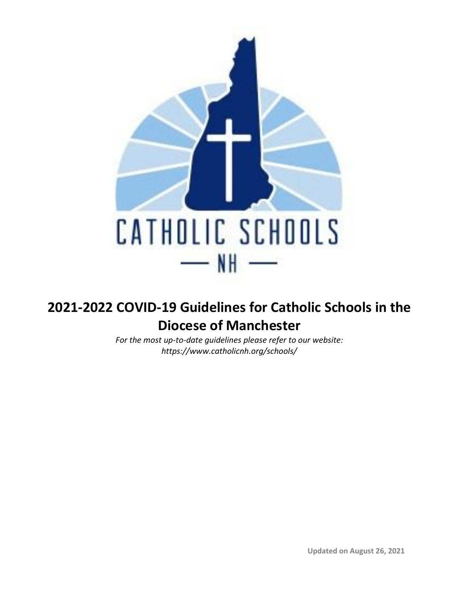

# **2021-2022 COVID-19 Guidelines for Catholic Schools in the Diocese of Manchester**

*For the most up-to-date guidelines please refer to our website: https://www.catholicnh.org/schools/*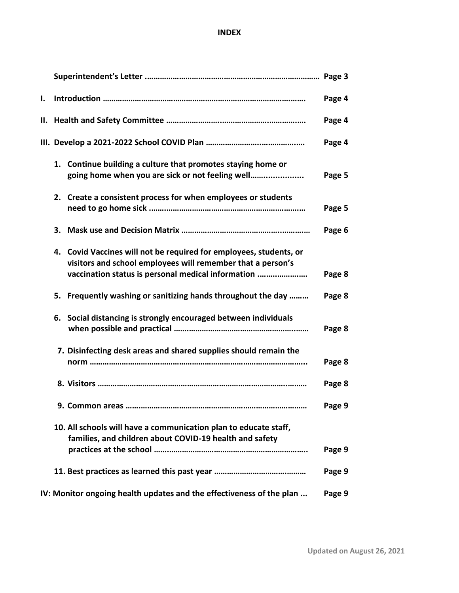## **INDEX**

| Ι. |    |                                                                                                                                                                                         | Page 4 |
|----|----|-----------------------------------------------------------------------------------------------------------------------------------------------------------------------------------------|--------|
|    |    |                                                                                                                                                                                         | Page 4 |
|    |    |                                                                                                                                                                                         | Page 4 |
|    |    | 1. Continue building a culture that promotes staying home or<br>going home when you are sick or not feeling well                                                                        | Page 5 |
|    |    | 2. Create a consistent process for when employees or students                                                                                                                           | Page 5 |
|    | 3. |                                                                                                                                                                                         | Page 6 |
|    |    | 4. Covid Vaccines will not be required for employees, students, or<br>visitors and school employees will remember that a person's<br>vaccination status is personal medical information | Page 8 |
|    |    | 5. Frequently washing or sanitizing hands throughout the day                                                                                                                            | Page 8 |
|    |    | 6. Social distancing is strongly encouraged between individuals                                                                                                                         | Page 8 |
|    |    | 7. Disinfecting desk areas and shared supplies should remain the                                                                                                                        | Page 8 |
|    |    | 8. Visitors …………………………………………………………………………………                                                                                                                                             | Page 8 |
|    |    | 9. Common areas.                                                                                                                                                                        | Page 9 |
|    |    | 10. All schools will have a communication plan to educate staff,<br>families, and children about COVID-19 health and safety                                                             | Page 9 |
|    |    |                                                                                                                                                                                         | Page 9 |
|    |    | IV: Monitor ongoing health updates and the effectiveness of the plan                                                                                                                    | Page 9 |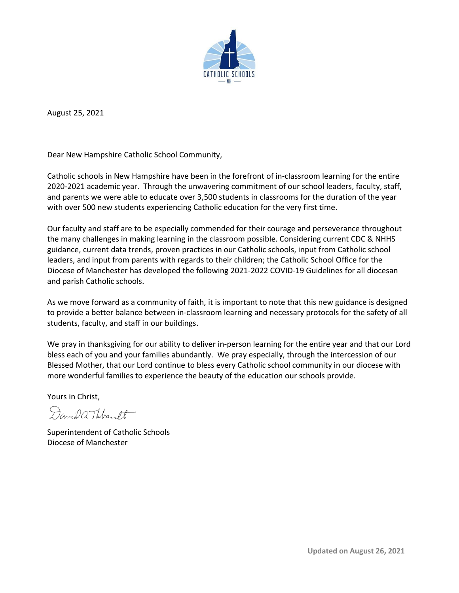

August 25, 2021

Dear New Hampshire Catholic School Community,

Catholic schools in New Hampshire have been in the forefront of in-classroom learning for the entire 2020-2021 academic year. Through the unwavering commitment of our school leaders, faculty, staff, and parents we were able to educate over 3,500 students in classrooms for the duration of the year with over 500 new students experiencing Catholic education for the very first time.

Our faculty and staff are to be especially commended for their courage and perseverance throughout the many challenges in making learning in the classroom possible. Considering current CDC & NHHS guidance, current data trends, proven practices in our Catholic schools, input from Catholic school leaders, and input from parents with regards to their children; the Catholic School Office for the Diocese of Manchester has developed the following 2021-2022 COVID-19 Guidelines for all diocesan and parish Catholic schools.

As we move forward as a community of faith, it is important to note that this new guidance is designed to provide a better balance between in-classroom learning and necessary protocols for the safety of all students, faculty, and staff in our buildings.

We pray in thanksgiving for our ability to deliver in-person learning for the entire year and that our Lord bless each of you and your families abundantly. We pray especially, through the intercession of our Blessed Mother, that our Lord continue to bless every Catholic school community in our diocese with more wonderful families to experience the beauty of the education our schools provide.

Yours in Christ,

Davida Thbank

Superintendent of Catholic Schools Diocese of Manchester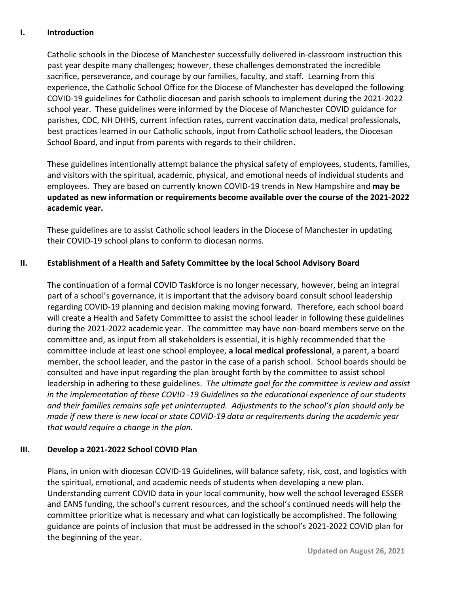## **I. Introduction**

Catholic schools in the Diocese of Manchester successfully delivered in-classroom instruction this past year despite many challenges; however, these challenges demonstrated the incredible sacrifice, perseverance, and courage by our families, faculty, and staff. Learning from this experience, the Catholic School Office for the Diocese of Manchester has developed the following COVID-19 guidelines for Catholic diocesan and parish schools to implement during the 2021-2022 school year. These guidelines were informed by the Diocese of Manchester COVID guidance for parishes, CDC, NH DHHS, current infection rates, current vaccination data, medical professionals, best practices learned in our Catholic schools, input from Catholic school leaders, the Diocesan School Board, and input from parents with regards to their children.

These guidelines intentionally attempt balance the physical safety of employees, students, families, and visitors with the spiritual, academic, physical, and emotional needs of individual students and employees. They are based on currently known COVID-19 trends in New Hampshire and **may be updated as new information or requirements become available over the course of the 2021-2022 academic year.**

These guidelines are to assist Catholic school leaders in the Diocese of Manchester in updating their COVID-19 school plans to conform to diocesan norms.

## **II. Establishment of a Health and Safety Committee by the local School Advisory Board**

The continuation of a formal COVID Taskforce is no longer necessary, however, being an integral part of a school's governance, it is important that the advisory board consult school leadership regarding COVID-19 planning and decision making moving forward. Therefore, each school board will create a Health and Safety Committee to assist the school leader in following these guidelines during the 2021-2022 academic year. The committee may have non-board members serve on the committee and, as input from all stakeholders is essential, it is highly recommended that the committee include at least one school employee, **a local medical professional**, a parent, a board member, the school leader, and the pastor in the case of a parish school. School boards should be consulted and have input regarding the plan brought forth by the committee to assist school leadership in adhering to these guidelines. *The ultimate goal for the committee is review and assist in the implementation of these COVID -19 Guidelines so the educational experience of our students and their families remains safe yet uninterrupted. Adjustments to the school's plan should only be made if new there is new local or state COVID-19 data or requirements during the academic year that would require a change in the plan.*

### **III. Develop a 2021-2022 School COVID Plan**

Plans, in union with diocesan COVID-19 Guidelines, will balance safety, risk, cost, and logistics with the spiritual, emotional, and academic needs of students when developing a new plan. Understanding current COVID data in your local community, how well the school leveraged ESSER and EANS funding, the school's current resources, and the school's continued needs will help the committee prioritize what is necessary and what can logistically be accomplished. The following guidance are points of inclusion that must be addressed in the school's 2021-2022 COVID plan for the beginning of the year.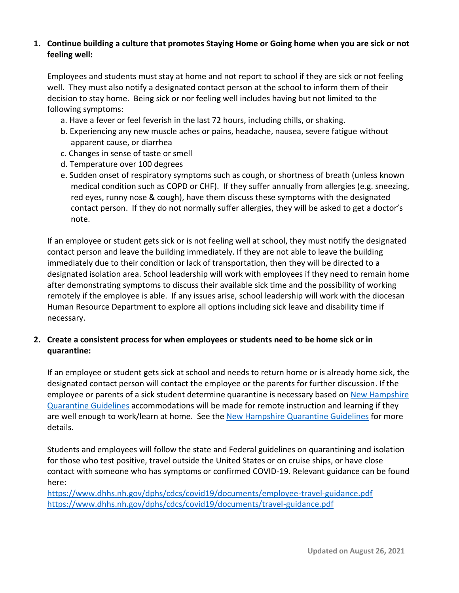## **1. Continue building a culture that promotes Staying Home or Going home when you are sick or not feeling well:**

Employees and students must stay at home and not report to school if they are sick or not feeling well. They must also notify a designated contact person at the school to inform them of their decision to stay home. Being sick or nor feeling well includes having but not limited to the following symptoms:

- a. Have a fever or feel feverish in the last 72 hours, including chills, or shaking.
- b. Experiencing any new muscle aches or pains, headache, nausea, severe fatigue without apparent cause, or diarrhea
- c. Changes in sense of taste or smell
- d. Temperature over 100 degrees
- e. Sudden onset of respiratory symptoms such as cough, or shortness of breath (unless known medical condition such as COPD or CHF). If they suffer annually from allergies (e.g. sneezing, red eyes, runny nose & cough), have them discuss these symptoms with the designated contact person. If they do not normally suffer allergies, they will be asked to get a doctor's note.

If an employee or student gets sick or is not feeling well at school, they must notify the designated contact person and leave the building immediately. If they are not able to leave the building immediately due to their condition or lack of transportation, then they will be directed to a designated isolation area. School leadership will work with employees if they need to remain home after demonstrating symptoms to discuss their available sick time and the possibility of working remotely if the employee is able. If any issues arise, school leadership will work with the diocesan Human Resource Department to explore all options including sick leave and disability time if necessary.

## **2. Create a consistent process for when employees or students need to be home sick or in quarantine:**

If an employee or student gets sick at school and needs to return home or is already home sick, the designated contact person will contact the employee or the parents for further discussion. If the employee or parents of a sick student determine quarantine is necessary based on New Hampshire [Quarantine Guidelines](https://nam02.safelinks.protection.outlook.com/?url=https%3A%2F%2Fwww.dhhs.nh.gov%2Fdphs%2Fcdcs%2Fcovid19%2Fdocuments%2Fself-quarantine-covid.pdf&data=04%7C01%7CDThibault%40rcbm.org%7C995a98186cc24a7aa9bc08d89ae2e0c8%7C3b55b6744f934a708091262d87011e7d%7C0%7C0%7C637429647412851854%7CUnknown%7CTWFpbGZsb3d8eyJWIjoiMC4wLjAwMDAiLCJQIjoiV2luMzIiLCJBTiI6Ik1haWwiLCJXVCI6Mn0%3D%7C1000&sdata=nooCFPIPsXURLVJu%2BhStpMkACbOmlrlzDN2zVv81KrQ%3D&reserved=0) accommodations will be made for remote instruction and learning if they are well enough to work/learn at home. See the [New Hampshire Quarantine Guidelines](https://nam02.safelinks.protection.outlook.com/?url=https%3A%2F%2Fwww.dhhs.nh.gov%2Fdphs%2Fcdcs%2Fcovid19%2Fdocuments%2Fself-quarantine-covid.pdf&data=04%7C01%7CDThibault%40rcbm.org%7C995a98186cc24a7aa9bc08d89ae2e0c8%7C3b55b6744f934a708091262d87011e7d%7C0%7C0%7C637429647412851854%7CUnknown%7CTWFpbGZsb3d8eyJWIjoiMC4wLjAwMDAiLCJQIjoiV2luMzIiLCJBTiI6Ik1haWwiLCJXVCI6Mn0%3D%7C1000&sdata=nooCFPIPsXURLVJu%2BhStpMkACbOmlrlzDN2zVv81KrQ%3D&reserved=0) for more details.

Students and employees will follow the state and Federal guidelines on quarantining and isolation for those who test positive, travel outside the United States or on cruise ships, or have close contact with someone who has symptoms or confirmed COVID-19. Relevant guidance can be found here:

<https://www.dhhs.nh.gov/dphs/cdcs/covid19/documents/employee-travel-guidance.pdf> <https://www.dhhs.nh.gov/dphs/cdcs/covid19/documents/travel-guidance.pdf>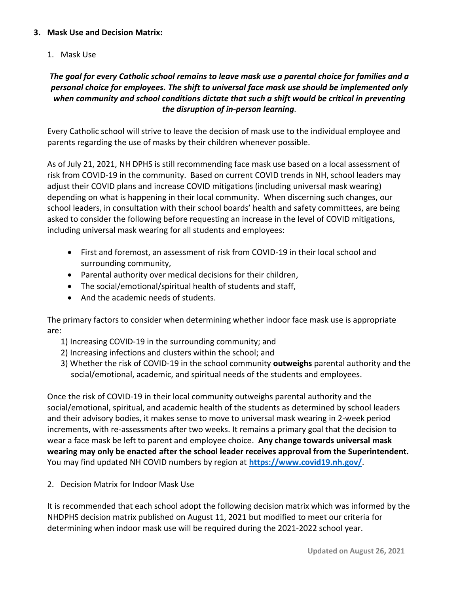## **3. Mask Use and Decision Matrix:**

1. Mask Use

## *The goal for every Catholic school remains to leave mask use a parental choice for families and a personal choice for employees. The shift to universal face mask use should be implemented only when community and school conditions dictate that such a shift would be critical in preventing the disruption of in-person learning.*

Every Catholic school will strive to leave the decision of mask use to the individual employee and parents regarding the use of masks by their children whenever possible.

As of July 21, 2021, NH DPHS is still recommending face mask use based on a local assessment of risk from COVID-19 in the community. Based on current COVID trends in NH, school leaders may adjust their COVID plans and increase COVID mitigations (including universal mask wearing) depending on what is happening in their local community. When discerning such changes, our school leaders, in consultation with their school boards' health and safety committees, are being asked to consider the following before requesting an increase in the level of COVID mitigations, including universal mask wearing for all students and employees:

- First and foremost, an assessment of risk from COVID-19 in their local school and surrounding community,
- Parental authority over medical decisions for their children,
- The social/emotional/spiritual health of students and staff,
- And the academic needs of students.

The primary factors to consider when determining whether indoor face mask use is appropriate are:

- 1) Increasing COVID-19 in the surrounding community; and
- 2) Increasing infections and clusters within the school; and
- 3) Whether the risk of COVID-19 in the school community **outweighs** parental authority and the social/emotional, academic, and spiritual needs of the students and employees.

Once the risk of COVID-19 in their local community outweighs parental authority and the social/emotional, spiritual, and academic health of the students as determined by school leaders and their advisory bodies, it makes sense to move to universal mask wearing in 2-week period increments, with re-assessments after two weeks. It remains a primary goal that the decision to wear a face mask be left to parent and employee choice. **Any change towards universal mask wearing may only be enacted after the school leader receives approval from the Superintendent.**  You may find updated NH COVID numbers by region at **<https://www.covid19.nh.gov/>**.

2. Decision Matrix for Indoor Mask Use

It is recommended that each school adopt the following decision matrix which was informed by the NHDPHS decision matrix published on August 11, 2021 but modified to meet our criteria for determining when indoor mask use will be required during the 2021-2022 school year.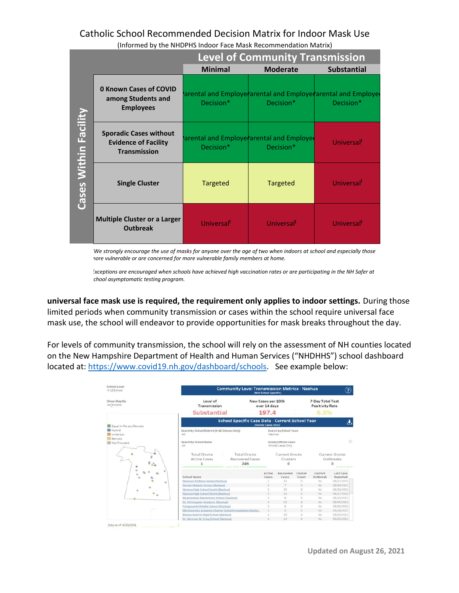## Catholic School Recommended Decision Matrix for Indoor Mask Use

|                       |                                                                                     | <b>Level of Community Transmission</b>                            |                        |                                                                          |  |  |  |  |  |
|-----------------------|-------------------------------------------------------------------------------------|-------------------------------------------------------------------|------------------------|--------------------------------------------------------------------------|--|--|--|--|--|
|                       |                                                                                     | <b>Minimal</b>                                                    | <b>Moderate</b>        | <b>Substantial</b>                                                       |  |  |  |  |  |
| Cases Within Facility | <b>0 Known Cases of COVID</b><br>among Students and<br><b>Employees</b>             | Decision*                                                         | Decision*              | arental and Employe arental and Employe arental and Employe<br>Decision* |  |  |  |  |  |
|                       | <b>Sporadic Cases without</b><br><b>Evidence of Facility</b><br><b>Transmission</b> | arental and Employe arental and Employe<br>Decision*<br>Decision* |                        | Universal <sup>1</sup>                                                   |  |  |  |  |  |
|                       | <b>Single Cluster</b>                                                               | Targeted                                                          | <b>Targeted</b>        | Universal <sup>T</sup>                                                   |  |  |  |  |  |
|                       | <b>Multiple Cluster or a Larger</b><br><b>Outbreak</b>                              | Universal <sup>T</sup>                                            | Universal <sup>T</sup> | Universal <sup>T</sup>                                                   |  |  |  |  |  |

(Informed by the NHDPHS Indoor Face Mask Recommendation Matrix)

*\*We strongly encourage the use of masks for anyone over the age of two when indoors at school and especially those more vulnerable or are concerned for more vulnerable family members at home.* 

*<sup>ꝉ</sup>Exceptions are encouraged when schools have achieved high vaccination rates or are participating in the NH Safer at*   $S$ chool asymptomatic testing program.

**universal face mask use is required, the requirement only applies to indoor settings.** During those limited periods when community transmission or cases within the school require universal face mask use, the school will endeavor to provide opportunities for mask breaks throughout the day.

For levels of community transmission, the school will rely on the assessment of NH counties located on the New Hampshire Department of Health and Human Services ("NHDHHS") school dashboard located at: [https://www.covid19.nh.gov/dashboard/schools.](https://www.covid19.nh.gov/dashboard/schools) See example below:

| School Level<br>K-12 School  |                                                       | <b>Community Level Transmission Metrics - Nashua</b><br>(Not School Specific) |                                    |                                           |                  |                                            |                                         |  |  |  |
|------------------------------|-------------------------------------------------------|-------------------------------------------------------------------------------|------------------------------------|-------------------------------------------|------------------|--------------------------------------------|-----------------------------------------|--|--|--|
| Show Map By<br>All Schools   | Level of<br>Transmission                              |                                                                               | New Cases per 100k<br>over 14 days |                                           |                  | 7-Day Total Test<br><b>Positivity Rate</b> |                                         |  |  |  |
|                              | Substantial                                           |                                                                               |                                    | 197.4                                     |                  | 6.3%                                       |                                         |  |  |  |
| Equal In-Person/Remote       |                                                       | <b>School Specific Case Data - Current School Year</b><br>(Onsite Cases Only) |                                    |                                           |                  |                                            |                                         |  |  |  |
| <b>图 Hybrid</b><br>In-Person | $\Delta H$                                            | Search by School District (K-12 Schools Only)                                 |                                    | Search by School Town<br>Nashua           |                  |                                            |                                         |  |  |  |
| Remote<br>Not Provided       | Search by School Name<br>All                          |                                                                               |                                    | Onsite/Offsite Cases<br>Onsite Cases Only |                  |                                            | (2)                                     |  |  |  |
| $\delta^{\circ}$             | Total Onsite<br><b>Active Cases</b><br>$\mathbf{1}$   | Total Onsite<br>Recovered Cases<br>246                                        |                                    | Current Onsite<br>Clusters<br>Ω           |                  |                                            | Current Onsite<br>Outbreaks<br>$\Omega$ |  |  |  |
|                              | School Name                                           |                                                                               | Active<br>Cases                    | Recovered<br>Cases                        | Cluster<br>Count | Current<br>Outbreak                        | Last Case<br>Reported                   |  |  |  |
| ó                            | Nashua Childrens Home (Nashua)<br>ö                   |                                                                               | 1                                  | 22                                        | $\circ$          | No                                         | 08/17/2021                              |  |  |  |
|                              | Sunset Heights School (Nashua)                        |                                                                               | o.                                 | $\overline{\tau}$                         | o.               | No                                         | 06/30/2021                              |  |  |  |
| ö                            | Nashua High School South (Nashua)                     |                                                                               | O.                                 | 25                                        | O.               | No                                         | 06/30/2021                              |  |  |  |
|                              | Nashua High School North (Nashua)                     |                                                                               | $\alpha$                           | 15                                        | $\sigma$         | No                                         | 06/17/2021                              |  |  |  |
|                              | Bicentennial Elementary School (Nashua)               |                                                                               | O.                                 | 8                                         | ö.               | No.                                        | 06/10/2021                              |  |  |  |
|                              | St. Christopher Academy (Nashua)                      |                                                                               | O.                                 | 23                                        | $\Omega$         | No.                                        | 06/09/2021                              |  |  |  |
|                              | Fairgrounds Middle School (Nashua)                    |                                                                               | $\circ$                            | 6                                         | ö                | No                                         | 06/06/2021                              |  |  |  |
|                              | MicroSociety Academy Charter School Foundation (Nashu |                                                                               | o.                                 | $\mathbf{S}$                              | o.               | No.                                        | 05/26/2021                              |  |  |  |
|                              | <b>Bishop Guertin High School (Nashua)</b>            |                                                                               | $\alpha$                           | 26                                        | G.               | No                                         | 05/25/2021                              |  |  |  |
|                              | Dr. Norman W. Crisp School (Nashua)                   |                                                                               | $\alpha$                           | 7.4                                       | $\alpha$         | No.                                        | 05/22/2021                              |  |  |  |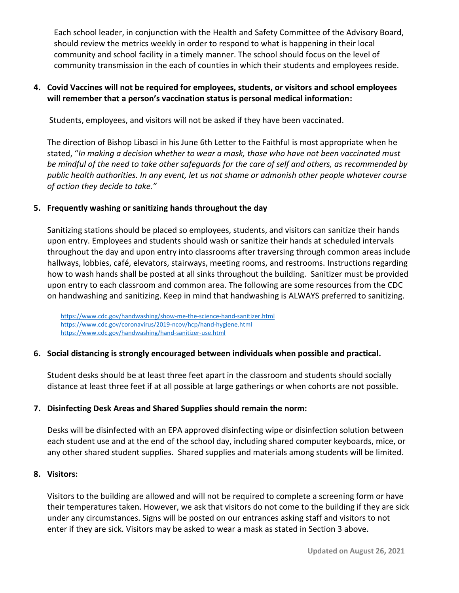Each school leader, in conjunction with the Health and Safety Committee of the Advisory Board, should review the metrics weekly in order to respond to what is happening in their local community and school facility in a timely manner. The school should focus on the level of community transmission in the each of counties in which their students and employees reside.

## **4. Covid Vaccines will not be required for employees, students, or visitors and school employees will remember that a person's vaccination status is personal medical information:**

Students, employees, and visitors will not be asked if they have been vaccinated.

The direction of Bishop Libasci in his June 6th Letter to the Faithful is most appropriate when he stated, "*In making a decision whether to wear a mask, those who have not been vaccinated must be mindful of the need to take other safeguards for the care of self and others, as recommended by public health authorities. In any event, let us not shame or admonish other people whatever course of action they decide to take."* 

## **5. Frequently washing or sanitizing hands throughout the day**

Sanitizing stations should be placed so employees, students, and visitors can sanitize their hands upon entry. Employees and students should wash or sanitize their hands at scheduled intervals throughout the day and upon entry into classrooms after traversing through common areas include hallways, lobbies, café, elevators, stairways, meeting rooms, and restrooms. Instructions regarding how to wash hands shall be posted at all sinks throughout the building. Sanitizer must be provided upon entry to each classroom and common area. The following are some resources from the CDC on handwashing and sanitizing. Keep in mind that handwashing is ALWAYS preferred to sanitizing.

<https://www.cdc.gov/handwashing/show-me-the-science-hand-sanitizer.html> <https://www.cdc.gov/coronavirus/2019-ncov/hcp/hand-hygiene.html> <https://www.cdc.gov/handwashing/hand-sanitizer-use.html>

### **6. Social distancing is strongly encouraged between individuals when possible and practical.**

Student desks should be at least three feet apart in the classroom and students should socially distance at least three feet if at all possible at large gatherings or when cohorts are not possible.

### **7. Disinfecting Desk Areas and Shared Supplies should remain the norm:**

Desks will be disinfected with an EPA approved disinfecting wipe or disinfection solution between each student use and at the end of the school day, including shared computer keyboards, mice, or any other shared student supplies. Shared supplies and materials among students will be limited.

### **8. Visitors:**

Visitors to the building are allowed and will not be required to complete a screening form or have their temperatures taken. However, we ask that visitors do not come to the building if they are sick under any circumstances. Signs will be posted on our entrances asking staff and visitors to not enter if they are sick. Visitors may be asked to wear a mask as stated in Section 3 above.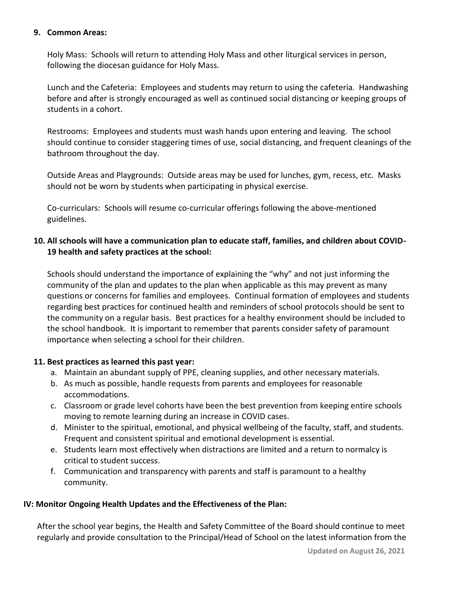### **9. Common Areas:**

Holy Mass: Schools will return to attending Holy Mass and other liturgical services in person, following the diocesan guidance for Holy Mass.

Lunch and the Cafeteria: Employees and students may return to using the cafeteria. Handwashing before and after is strongly encouraged as well as continued social distancing or keeping groups of students in a cohort.

Restrooms: Employees and students must wash hands upon entering and leaving. The school should continue to consider staggering times of use, social distancing, and frequent cleanings of the bathroom throughout the day.

Outside Areas and Playgrounds: Outside areas may be used for lunches, gym, recess, etc. Masks should not be worn by students when participating in physical exercise.

Co-curriculars: Schools will resume co-curricular offerings following the above-mentioned guidelines.

## **10. All schools will have a communication plan to educate staff, families, and children about COVID-19 health and safety practices at the school:**

Schools should understand the importance of explaining the "why" and not just informing the community of the plan and updates to the plan when applicable as this may prevent as many questions or concerns for families and employees. Continual formation of employees and students regarding best practices for continued health and reminders of school protocols should be sent to the community on a regular basis. Best practices for a healthy environment should be included to the school handbook. It is important to remember that parents consider safety of paramount importance when selecting a school for their children.

### **11. Best practices as learned this past year:**

- a. Maintain an abundant supply of PPE, cleaning supplies, and other necessary materials.
- b. As much as possible, handle requests from parents and employees for reasonable accommodations.
- c. Classroom or grade level cohorts have been the best prevention from keeping entire schools moving to remote learning during an increase in COVID cases.
- d. Minister to the spiritual, emotional, and physical wellbeing of the faculty, staff, and students. Frequent and consistent spiritual and emotional development is essential.
- e. Students learn most effectively when distractions are limited and a return to normalcy is critical to student success.
- f. Communication and transparency with parents and staff is paramount to a healthy community.

### **IV: Monitor Ongoing Health Updates and the Effectiveness of the Plan:**

After the school year begins, the Health and Safety Committee of the Board should continue to meet regularly and provide consultation to the Principal/Head of School on the latest information from the